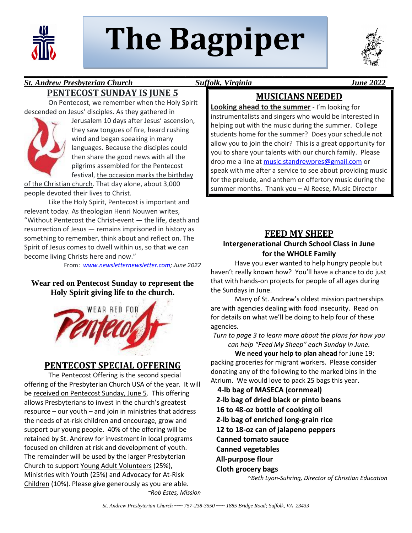

# **The Bagpiper**



#### **\_\_\_\_\_\_\_\_\_\_\_\_\_\_\_\_\_\_\_\_\_\_\_\_\_\_\_\_\_\_\_\_\_\_\_\_\_\_\_\_\_\_\_\_\_\_\_\_\_\_\_\_\_\_\_\_\_\_\_\_\_\_\_\_\_\_\_\_\_\_\_\_\_\_\_\_\_\_\_\_\_\_\_\_\_\_\_\_\_\_** *St. Andrew Presbyterian Church Suffolk, Virginia June 2022*  **PENTECOST SUNDAY IS JUNE 5**

On Pentecost, we remember when the Holy Spirit descended on Jesus' disciples. As they gathered in



Jerusalem 10 days after Jesus' ascension, they saw tongues of fire, heard rushing wind and began speaking in many languages. Because the disciples could then share the good news with all the pilgrims assembled for the Pentecost festival, the occasion marks the birthday

of the Christian church. That day alone, about 3,000 people devoted their lives to Christ.

Like the Holy Spirit, Pentecost is important and relevant today. As theologian Henri Nouwen writes, "Without Pentecost the Christ-event — the life, death and resurrection of Jesus — remains imprisoned in history as something to remember, think about and reflect on. The Spirit of Jesus comes to dwell within us, so that we can become living Christs here and now."

From: *[www.newsletternewsletter.com;](http://www.newsletternewsletter.com/) June 2022*

#### **Wear red on Pentecost Sunday to represent the Holy Spirit giving life to the church.**



# **PENTECOST SPECIAL OFFERING**

The Pentecost Offering is the second special offering of the Presbyterian Church USA of the year. It will be received on Pentecost Sunday, June 5. This offering allows Presbyterians to invest in the church's greatest resource – our youth – and join in ministries that address the needs of at-risk children and encourage, grow and support our young people. 40% of the offering will be retained by St. Andrew for investment in local programs focused on children at risk and development of youth. The remainder will be used by the larger Presbyterian Church to support Young Adult Volunteers (25%), Ministries with Youth (25%) and Advocacy for At-Risk Children (10%). Please give generously as you are able. *~Rob Estes, Mission*

# **MUSICIANS NEEDED**

**Looking ahead to the summer** - I'm looking for instrumentalists and singers who would be interested in helping out with the music during the summer. College students home for the summer? Does your schedule not allow you to join the choir? This is a great opportunity for you to share your talents with our church family. Please drop me a line at [music.standrewpres@gmail.com](mailto:music.standrewpres@gmail.com) or speak with me after a service to see about providing music for the prelude, and anthem or offertory music during the summer months. Thank you – Al Reese, Music Director

#### **FEED MY SHEEP**

#### **Intergenerational Church School Class in June for the WHOLE Family**

Have you ever wanted to help hungry people but haven't really known how? You'll have a chance to do just that with hands-on projects for people of all ages during the Sundays in June.

Many of St. Andrew's oldest mission partnerships are with agencies dealing with food insecurity. Read on for details on what we'll be doing to help four of these agencies.

*Turn to page 3 to learn more about the plans for how you can help "Feed My Sheep" each Sunday in June.*

**We need your help to plan ahead** for June 19: packing groceries for migrant workers. Please consider donating any of the following to the marked bins in the Atrium. We would love to pack 25 bags this year.

 **4-lb bag of MASECA (cornmeal) 2-lb bag of dried black or pinto beans 16 to 48-oz bottle of cooking oil 2-lb bag of enriched long-grain rice 12 to 18-oz can of jalapeno peppers Canned tomato sauce Canned vegetables All-purpose flour Cloth grocery bags**

*~Beth Lyon-Suhring, Director of Christian Education*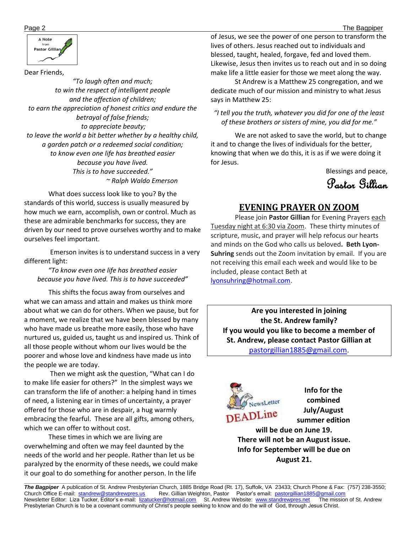



Dear Friends,

*"To laugh often and much; to win the respect of intelligent people and the affection of children; to earn the appreciation of honest critics and endure the betrayal of false friends; to appreciate beauty; to leave the world a bit better whether by a healthy child, a garden patch or a redeemed social condition; to know even one life has breathed easier because you have lived. This is to have succeeded." ~ Ralph Waldo Emerson*

 What does success look like to you? By the standards of this world, success is usually measured by how much we earn, accomplish, own or control. Much as these are admirable benchmarks for success, they are driven by our need to prove ourselves worthy and to make ourselves feel important.

 Emerson invites is to understand success in a very different light:

*"To know even one life has breathed easier because you have lived. This is to have succeeded"*

 This shifts the focus away from ourselves and what we can amass and attain and makes us think more about what we can do for others. When we pause, but for a moment, we realize that we have been blessed by many who have made us breathe more easily, those who have nurtured us, guided us, taught us and inspired us. Think of all those people without whom our lives would be the poorer and whose love and kindness have made us into the people we are today.

 Then we might ask the question, "What can I do to make life easier for others?" In the simplest ways we can transform the life of another: a helping hand in times of need, a listening ear in times of uncertainty, a prayer offered for those who are in despair, a hug warmly embracing the fearful. These are all gifts, among others, which we can offer to without cost.

 These times in which we are living are overwhelming and often we may feel daunted by the needs of the world and her people. Rather than let us be paralyzed by the enormity of these needs, we could make it our goal to do something for another person. In the life

Page 2 The Bagpiper of Jesus, we see the power of one person to transform the lives of others. Jesus reached out to individuals and blessed, taught, healed, forgave, fed and loved them. Likewise, Jesus then invites us to reach out and in so doing make life a little easier for those we meet along the way.

> St Andrew is a Matthew 25 congregation, and we dedicate much of our mission and ministry to what Jesus says in Matthew 25:

*"I tell you the truth, whatever you did for one of the least of these brothers or sisters of mine, you did for me."*

 We are not asked to save the world, but to change it and to change the lives of individuals for the better, knowing that when we do this, it is as if we were doing it for Jesus.

Blessings and peace,

Pastor Gillian

#### **EVENING PRAYER ON ZOOM**

Please join **Pastor Gillian** for Evening Prayers each Tuesday night at 6:30 via Zoom. These thirty minutes of scripture, music, and prayer will help refocus our hearts and minds on the God who calls us beloved**. Beth Lyon-Suhring** sends out the Zoom invitation by email. If you are not receiving this email each week and would like to be included, please contact Beth at [lyonsuhring@hotmail.com.](mailto:lyonsuhring@hotmail.com)

**Are you interested in joining the St. Andrew family? If you would you like to become a member of St. Andrew, please contact Pastor Gillian at**  [pastorgillian1885@gmail.com.](mailto:pastorgillian1885@gmail.com)



**Info for the combined July/August summer edition**

**will be due on June 19. There will not be an August issue. Info for September will be due on August 21.**

**\_\_\_\_\_\_\_\_\_\_\_\_\_\_\_\_\_\_\_\_\_\_\_\_\_\_\_\_\_\_\_\_\_\_\_\_\_\_\_\_\_\_\_\_\_\_\_\_\_\_\_\_\_\_\_\_\_\_\_\_\_\_\_\_\_\_\_\_\_\_\_\_\_\_\_\_\_\_\_\_\_\_\_\_\_\_\_\_\_\_\_\_\_\_\_\_\_\_\_\_\_\_\_\_\_\_\_\_\_\_\_\_\_\_\_\_\_\_\_\_\_**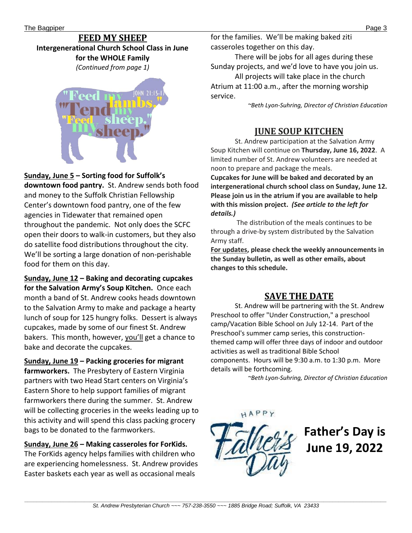#### **FEED MY SHEEP Intergenerational Church School Class in June for the WHOLE Family** *(Continued from page 1)*



#### **Sunday, June 5 – Sorting food for Suffolk's**

**downtown food pantry.** St. Andrew sends both food and money to the Suffolk Christian Fellowship Center's downtown food pantry, one of the few agencies in Tidewater that remained open throughout the pandemic. Not only does the SCFC open their doors to walk-in customers, but they also do satellite food distributions throughout the city. We'll be sorting a large donation of non-perishable food for them on this day.

**Sunday, June 12 – Baking and decorating cupcakes for the Salvation Army's Soup Kitchen.** Once each month a band of St. Andrew cooks heads downtown to the Salvation Army to make and package a hearty lunch of soup for 125 hungry folks. Dessert is always cupcakes, made by some of our finest St. Andrew bakers. This month, however, you'll get a chance to bake and decorate the cupcakes.

**Sunday, June 19 – Packing groceries for migrant farmworkers.** The Presbytery of Eastern Virginia partners with two Head Start centers on Virginia's Eastern Shore to help support families of migrant farmworkers there during the summer. St. Andrew will be collecting groceries in the weeks leading up to this activity and will spend this class packing grocery bags to be donated to the farmworkers.

**Sunday, June 26 – Making casseroles for ForKids.** The ForKids agency helps families with children who are experiencing homelessness. St. Andrew provides Easter baskets each year as well as occasional meals

for the families. We'll be making baked ziti casseroles together on this day.

There will be jobs for all ages during these Sunday projects, and we'd love to have you join us. All projects will take place in the church Atrium at 11:00 a.m., after the morning worship service.

*~Beth Lyon-Suhring, Director of Christian Education*

#### **JUNE SOUP KITCHEN**

St. Andrew participation at the Salvation Army Soup Kitchen will continue on **Thursday, June 16, 2022**. A limited number of St. Andrew volunteers are needed at noon to prepare and package the meals.

**Cupcakes for June will be baked and decorated by an intergenerational church school class on Sunday, June 12. Please join us in the atrium if you are available to help with this mission project.** *(See article to the left for details.)*

The distribution of the meals continues to be through a drive-by system distributed by the Salvation Army staff.

**For updates, please check the weekly announcements in the Sunday bulletin, as well as other emails, about changes to this schedule.**

### **SAVE THE DATE**

St. Andrew will be partnering with the St. Andrew Preschool to offer "Under Construction," a preschool camp/Vacation Bible School on July 12-14. Part of the Preschool's summer camp series, this constructionthemed camp will offer three days of indoor and outdoor activities as well as traditional Bible School components. Hours will be 9:30 a.m. to 1:30 p.m. More details will be forthcoming.

*~Beth Lyon-Suhring, Director of Christian Education*



**Father's Day is June 19, 2022**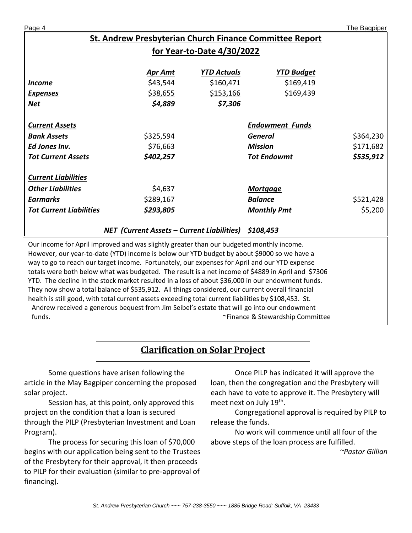Page 4 The Bagpiper

# **St. Andrew Presbyterian Church Finance Committee Report for Year-to-Date 4/30/2022**

|                                | <b>Apr Amt</b> | <b>YTD Actuals</b> | <b>YTD Budget</b>      |           |
|--------------------------------|----------------|--------------------|------------------------|-----------|
| <i>Income</i>                  | \$43,544       | \$160,471          | \$169,419              |           |
| <b>Expenses</b>                | \$38,655       | \$153,166          | \$169,439              |           |
| <b>Net</b>                     | \$4,889        | \$7,306            |                        |           |
|                                |                |                    |                        |           |
| <b>Current Assets</b>          |                |                    | <b>Endowment Funds</b> |           |
| <b>Bank Assets</b>             | \$325,594      |                    | General                | \$364,230 |
| Ed Jones Inv.                  | \$76,663       |                    | <b>Mission</b>         | \$171,682 |
| <b>Tot Current Assets</b>      | \$402,257      |                    | <b>Tot Endowmt</b>     | \$535,912 |
|                                |                |                    |                        |           |
| <b>Current Liabilities</b>     |                |                    |                        |           |
| <b>Other Liabilities</b>       | \$4,637        |                    | <b>Mortgage</b>        |           |
| <b>Earmarks</b>                | \$289,167      |                    | <b>Balance</b>         | \$521,428 |
| <b>Tot Current Liabilities</b> | \$293,805      |                    | <b>Monthly Pmt</b>     | \$5,200   |
|                                |                |                    |                        |           |

#### *NET (Current Assets – Current Liabilities) \$108,453*

Our income for April improved and was slightly greater than our budgeted monthly income. However, our year-to-date (YTD) income is below our YTD budget by about \$9000 so we have a way to go to reach our target income. Fortunately, our expenses for April and our YTD expense totals were both below what was budgeted. The result is a net income of \$4889 in April and \$7306 YTD. The decline in the stock market resulted in a loss of about \$36,000 in our endowment funds. They now show a total balance of \$535,912. All things considered, our current overall financial health is still good, with total current assets exceeding total current liabilities by \$108,453. St. Andrew received a generous bequest from Jim Seibel's estate that will go into our endowment funds. ~Finance & Stewardship Committee

# **Clarification on Solar Project**

Some questions have arisen following the article in the May Bagpiper concerning the proposed solar project.

Session has, at this point, only approved this project on the condition that a loan is secured through the PILP (Presbyterian Investment and Loan Program).

The process for securing this loan of \$70,000 begins with our application being sent to the Trustees of the Presbytery for their approval, it then proceeds to PILP for their evaluation (similar to pre-approval of financing).

Once PILP has indicated it will approve the loan, then the congregation and the Presbytery will each have to vote to approve it. The Presbytery will meet next on July 19<sup>th</sup>.

Congregational approval is required by PILP to release the funds.

No work will commence until all four of the above steps of the loan process are fulfilled.

*~Pastor Gillian*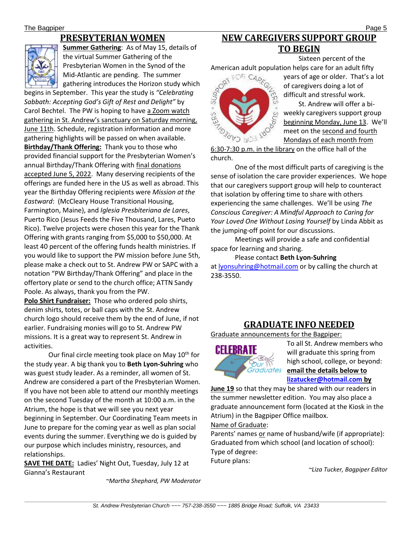# **PRESBYTERIAN WOMEN**



**Summer Gathering**: As of May 15, details of the virtual Summer Gathering of the Presbyterian Women in the Synod of the Mid-Atlantic are pending. The summer gathering introduces the Horizon study which

begins in September. This year the study is *"Celebrating Sabbath: Accepting God's Gift of Rest and Delight"* by Carol Bechtel. The PW is hoping to have a Zoom watch gathering in St. Andrew's sanctuary on Saturday morning, June 11th. Schedule, registration information and more gathering highlights will be passed on when available. **Birthday/Thank Offering:** Thank you to those who provided financial support for the Presbyterian Women's annual Birthday/Thank Offering with final donations accepted June 5, 2022. Many deserving recipients of the offerings are funded here in the US as well as abroad. This year the Birthday Offering recipients were *Mission at the Eastward*: (McCleary House Transitional Housing, Farmington, Maine), and *Iglesia Presbiteriana de Lares*, Puerto Rico (Jesus Feeds the Five Thousand, Lares, Pueto Rico). Twelve projects were chosen this year for the Thank Offering with grants ranging from \$5,000 to \$50,000. At least 40 percent of the offering funds health ministries. If you would like to support the PW mission before June 5th, please make a check out to St. Andrew PW or SAPC with a notation "PW Birthday/Thank Offering" and place in the offertory plate or send to the church office; ATTN Sandy Poole. As always, thank you from the PW.

**Polo Shirt Fundraiser:** Those who ordered polo shirts, denim shirts, totes, or ball caps with the St. Andrew church logo should receive them by the end of June, if not earlier. Fundraising monies will go to St. Andrew PW missions. It is a great way to represent St. Andrew in activities.

Our final circle meeting took place on May  $10^{th}$  for the study year. A big thank you to **Beth Lyon-Suhring** who was guest study leader. As a reminder, all women of St. Andrew are considered a part of the Presbyterian Women. If you have not been able to attend our monthly meetings on the second Tuesday of the month at 10:00 a.m. in the Atrium, the hope is that we will see you next year beginning in September. Our Coordinating Team meets in June to prepare for the coming year as well as plan social events during the summer. Everything we do is guided by our purpose which includes ministry, resources, and relationships.

**SAVE THE DATE:** Ladies' Night Out, Tuesday, July 12 at Gianna's Restaurant

*~Martha Shephard, PW Moderator*

# **NEW CAREGIVERS SUPPORT GROUP TO BEGIN**

Sixteen percent of the



years of age or older. That's a lot of caregivers doing a lot of difficult and stressful work.

St. Andrew will offer a biweekly caregivers support group beginning Monday, June 13. We'll meet on the second and fourth Mondays of each month from

6:30-7:30 p.m. in the library on the office hall of the church.

One of the most difficult parts of caregiving is the sense of isolation the care provider experiences. We hope that our caregivers support group will help to counteract that isolation by offering time to share with others experiencing the same challenges. We'll be using *The Conscious Caregiver: A Mindful Approach to Caring for Your Loved One Without Losing Yourself* by Linda Abbit as the jumping-off point for our discussions.

Meetings will provide a safe and confidential space for learning and sharing.

#### Please contact **Beth Lyon-Suhring**

at [lyonsuhring@hotmail.com](mailto:lyonsuhring@hotmail.com) or by calling the church at 238-3550.

# **GRADUATE INFO NEEDED**

Graduate announcements for the Bagpiper:



To all St. Andrew members who will graduate this spring from high school, college, or beyond: **email the details below to [lizatucker@hotmail.com](mailto:lizatucker@hotmail.com) by** 

**June 19** so that they may be shared with our readers in the summer newsletter edition. You may also place a graduate announcement form (located at the Kiosk in the Atrium) in the Bagpiper Office mailbox.

Name of Graduate:

Parents' names or name of husband/wife (if appropriate): Graduated from which school (and location of school): Type of degree: Future plans:

*~Liza Tucker, Bagpiper Editor*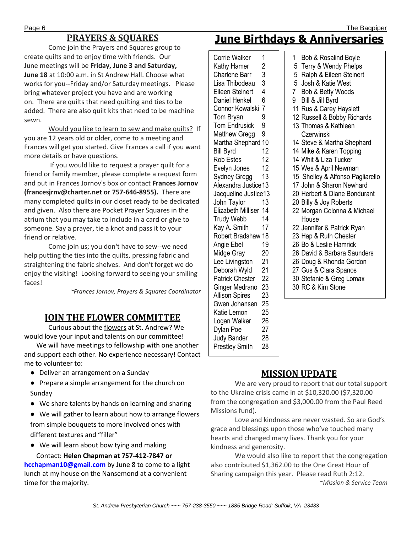# **PRAYERS & SQUARES**

Come join the Prayers and Squares group to create quilts and to enjoy time with friends. Our June meetings will be **Friday, June 3 and Saturday, June 18** at 10:00 a.m. in St Andrew Hall. Choose what works for you--Friday and/or Saturday meetings. Please bring whatever project you have and are working on. There are quilts that need quilting and ties to be added. There are also quilt kits that need to be machine sewn.

 Would you like to learn to sew and make quilts? If you are 12 years old or older, come to a meeting and Frances will get you started. Give Frances a call if you want more details or have questions.

 If you would like to request a prayer quilt for a friend or family member, please complete a request form and put in Frances Jornov's box or contact **Frances Jornov (francesjrnv@charter.net or 757-646-8955).** There are many completed quilts in our closet ready to be dedicated and given. Also there are Pocket Prayer Squares in the atrium that you may take to include in a card or give to someone. Say a prayer, tie a knot and pass it to your friend or relative.

 Come join us; you don't have to sew--we need help putting the ties into the quilts, pressing fabric and straightening the fabric shelves. And don't forget we do enjoy the visiting! Looking forward to seeing your smiling faces!

*~Frances Jornov, Prayers & Squares Coordinator*

# **JOIN THE FLOWER COMMITTEE**

Curious about the flowers at St. Andrew? We would love your input and talents on our committee!

We will have meetings to fellowship with one another and support each other. No experience necessary! Contact me to volunteer to:

- Deliver an arrangement on a Sunday
- Prepare a simple arrangement for the church on Sunday
- We share talents by hands on learning and sharing
- We will gather to learn about how to arrange flowers from simple bouquets to more involved ones with different textures and "filler"
- We will learn about bow tying and making Contact: **Helen Chapman at 757-412-7847 or**

**[hcchapman10@gmail.com](mailto:hcchapman10@gmail.com)** by June 8 to come to a light lunch at my house on the Nansemond at a convenient time for the majority.

# **June Birthdays & Anniversaries**

Corrie Walker 1 Kathy Hamer 2 Charlene Barr 3 Lisa Thibodeau 3 Eileen Steinert 4 Daniel Henkel 6 Connor Kowalski 7 Tom Bryan 9 Tom Endrusick 9 Matthew Gregg 9 Martha Shephard 10 Bill Byrd 12<br>Rob Estes 12 Rob Estes Evelyn Jones 12 Sydney Gregg 13 Alexandra Justice 13 Jacqueline Justice13 John Taylor 13 Elizabeth Milliser 14 Trudy Webb 14 Kay A. Smith 17 Robert Bradshaw 18 Angie Ebel 19 Midge Gray 20 Lee Livingston 21 Deborah Wyld 21 Patrick Chester 22 Ginger Medrano 23 Allison Spires 23 Gwen Johansen 25 Katie Lemon 25 Logan Walker 26 Dylan Poe 27 Judy Bander 28 Prestley Smith 28

 Bob & Rosalind Boyle Terry & Wendy Phelps Ralph & Eileen Steinert Josh & Katie West Bob & Betty Woods Bill & Jill Byrd Rus & Carey Hayslett Russell & Bobby Richards Thomas & Kathleen **Czerwinski**  Steve & Martha Shephard Mike & Karen Topping Whit & Liza Tucker Wes & April Newman 15 Shelley & Alfonso Pagliarello John & Sharon Newhard Herbert & Diane Bondurant Billy & Joy Roberts Morgan Colonna & Michael House Jennifer & Patrick Ryan Hap & Ruth Chester Bo & Leslie Hamrick David & Barbara Saunders Doug & Rhonda Gordon Gus & Clara Spanos Stefanie & Greg Lomax RC & Kim Stone

# **MISSION UPDATE**

We are very proud to report that our total support to the Ukraine crisis came in at \$10,320.00 (\$7,320.00 from the congregation and \$3,000.00 from the Paul Reed Missions fund).

Love and kindness are never wasted. So are God's grace and blessings upon those who've touched many hearts and changed many lives. Thank you for your kindness and generosity.

We would also like to report that the congregation also contributed \$1,362.00 to the One Great Hour of Sharing campaign this year. Please read Ruth 2:12. *~Mission & Service Team*